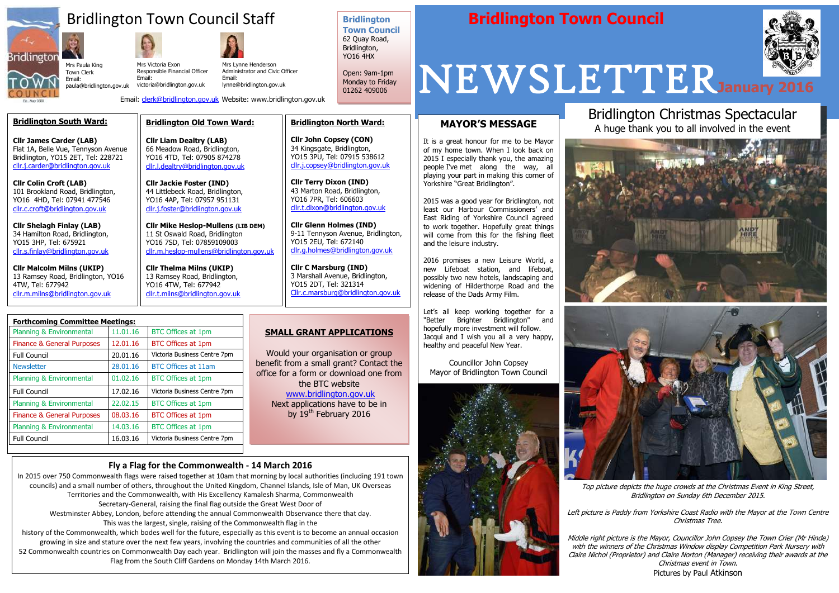

İ

## Bridlington Town Council Staff **Bridlington Town Council**



#### **Bridlington Town Council**

62 Quay Road, Bridlington, YO16 4HX

Open: 9am-1pm Monday to Friday 01262 409006



Top picture depicts the huge crowds at the Christmas Event in King Street, Bridlington on Sunday 6th December 2015.

Left picture is Paddy from Yorkshire Coast Radio with the Mayor at the Town Centre Christmas Tree.

Middle right picture is the Mayor, Councillor John Copsey the Town Crier (Mr Hinde) with the winners of the Christmas Window display Competition Park Nursery with Claire Nichol (Proprietor) and Claire Norton (Manager) receiving their awards at the Christmas event in Town. Pictures by Paul Atkinson

#### **MAYOR'S MESSAGE**

It is a great honour for me to be Mayor of my home town. When I look back on 2015 I especially thank you, the amazing people I've met along the way, all playing your part in making this corner of Yorkshire "Great Bridlington".

2015 was a good year for Bridlington, not least our Harbour Commissioners' and East Riding of Yorkshire Council agreed to work together. Hopefully great things will come from this for the fishing fleet and the leisure industry.

2016 promises a new Leisure World, a new Lifeboat station, and lifeboat, possibly two new hotels, landscaping and widening of Hilderthorpe Road and the release of the Dads Army Film.

Would your organisation or group benefit from a small grant? Contact the office for a form or download one from the BTC website [www.bridlington.gov.uk](http://www.bridlington.gov.uk/) Next applications have to be in by  $19<sup>th</sup>$  February 2016

Let's all keep working together for a "Better Brighter Bridlington" and hopefully more investment will follow. Jacqui and I wish you all a very happy, healthy and peaceful New Year.

Councillor John Copsey Mayor of Bridlington Town Council



**Bridlington North Ward:**

**Cllr John Copsey (CON)** 34 Kingsgate, Bridlington, YO15 3PU, Tel: 07915 538612 [cllr.j.copsey@bridlington.gov.uk](mailto:cllr.j.copsey@bridlington.gov.uk)

**Cllr Terry Dixon (IND)** 43 Marton Road, Bridlington, YO16 7PR, Tel: 606603 [cllr.t.dixon@bridlington.gov.uk](mailto:cllr.t.dixon@bridlington.gov.uk)

**Cllr Glenn Holmes (IND)**

9-11 Tennyson Avenue, Bridlington,

YO15 2EU, Tel: 672140

[cllr.g.holmes@bridlington.gov.uk](mailto:cllr.g.holmes@bridlington.gov.uk)

**Cllr C Marsburg (IND)** 3 Marshall Avenue, Bridlington,

YO15 2DT, Tel: 321314

[Cllr.c.marsburg@bridlington.gov.uk](mailto:Cllr.c.marsburg@bridlington.gov.uk)

#### **Bridlington Old Town Ward:**

**Cllr Liam Dealtry (LAB)** 66 Meadow Road, Bridlington, YO16 4TD, Tel: 07905 874278 [cllr.l.dealtry@bridlington.gov.uk](mailto:cllr.l.dealtry@bridlington.gov.uk)

**Cllr Jackie Foster (IND)** 44 Littlebeck Road, Bridlington, YO16 4AP, Tel: 07957 951131 [cllr.j.foster@bridlington.gov.uk](mailto:cllr.j.foster@bridlington.gov.uk)

**Cllr Mike Heslop-Mullens (LIB DEM)** 11 St Oswald Road, Bridlington YO16 7SD, Tel: 07859109003 [cllr.m.heslop-mullens@bridlington.gov.uk](mailto:cllr.m.heslop-mullens@bridlington.gov.uk)

**Cllr Thelma Milns (UKIP)** 13 Ramsey Road, Bridlington, YO16 4TW, Tel: 677942 [cllr.t.milns@bridlington.gov.uk](mailto:cllr.t.milns@bridlington.gov.uk)

#### **SMALL GRANT APPLICATIONS**

| <b>Forthcoming Committee Meetings:</b> |          |                              |
|----------------------------------------|----------|------------------------------|
| Planning & Environmental               | 11.01.16 | <b>BTC Offices at 1pm</b>    |
| Finance & General Purposes             | 12.01.16 | <b>BTC Offices at 1pm</b>    |
| <b>Full Council</b>                    | 20.01.16 | Victoria Business Centre 7pm |
| <b>Newsletter</b>                      | 28.01.16 | <b>BTC Offices at 11am</b>   |
| Planning & Environmental               | 01.02.16 | <b>BTC Offices at 1pm</b>    |
| <b>Full Council</b>                    | 17.02.16 | Victoria Business Centre 7pm |
| Planning & Environmental               | 22.02.15 | <b>BTC Offices at 1pm</b>    |
| <b>Finance &amp; General Purposes</b>  | 08.03.16 | <b>BTC Offices at 1pm</b>    |
| Planning & Environmental               | 14,03,16 | <b>BTC Offices at 1pm</b>    |
| <b>Full Council</b>                    | 16.03.16 | Victoria Business Centre 7pm |
|                                        |          |                              |

Town Clerk Email:

Mrs Paula King paula@bridlington.gov.uk Mrs Victoria Exon Email:

Email: [clerk@bridlington.gov.uk](mailto:clerk@bridlington.gov.uk) Website: www.bridlington.gov.uk

Responsible Financial Officer victoria@bridlington.gov.uk Mrs Lynne Henderson Administrator and Civic Officer Email: lynne@bridlington.gov.uk

### Bridlington Christmas Spectacular A huge thank you to all involved in the event





#### **Fly a Flag for the Commonwealth - 14 March 2016**

In 2015 over 750 Commonwealth flags were raised together at 10am that morning by local authorities (including 191 town councils) and a small number of others, throughout the United Kingdom, Channel Islands, Isle of Man, UK Overseas Territories and the Commonwealth, with His Excellency Kamalesh Sharma, Commonwealth Secretary-General, raising the final flag outside the Great West Door of Westminster Abbey, London, before attending the annual Commonwealth Observance there that day.

This was the largest, single, raising of the Commonwealth flag in the

history of the Commonwealth, which bodes well for the future, especially as this event is to become an annual occasion growing in size and stature over the next few years, involving the countries and communities of all the other 52 Commonwealth countries on Commonwealth Day each year. Bridlington will join the masses and fly a Commonwealth Flag from the South Cliff Gardens on Monday 14th March 2016.

#### **Bridlington South Ward:**

**Cllr James Carder (LAB)** Flat 1A, Belle Vue, Tennyson Avenue Bridlington, YO15 2ET, Tel: 228721 [cllr.j.carder@bridlington.gov.uk](mailto:cllr.j.carder@bridlington.gov.uk)

**Cllr Colin Croft (LAB)** 101 Brookland Road, Bridlington, YO16 4HD, Tel: 07941 477546 [cllr.c.croft@bridlington.gov.uk](mailto:cllr.c.croft@bridlington.gov.uk)

**Cllr Shelagh Finlay (LAB)** 34 Hamilton Road, Bridlington, YO15 3HP, Tel: 675921 [cllr.s.finlay@bridlington.gov.uk](mailto:cllr.s.finlay@bridlington.gov.uk)

**Cllr Malcolm Milns (UKIP)** 13 Ramsey Road, Bridlington, YO16 4TW, Tel: 677942 [cllr.m.milns@bridlington.gov.uk](mailto:cllr.m.milns@bridlington.gov.uk)